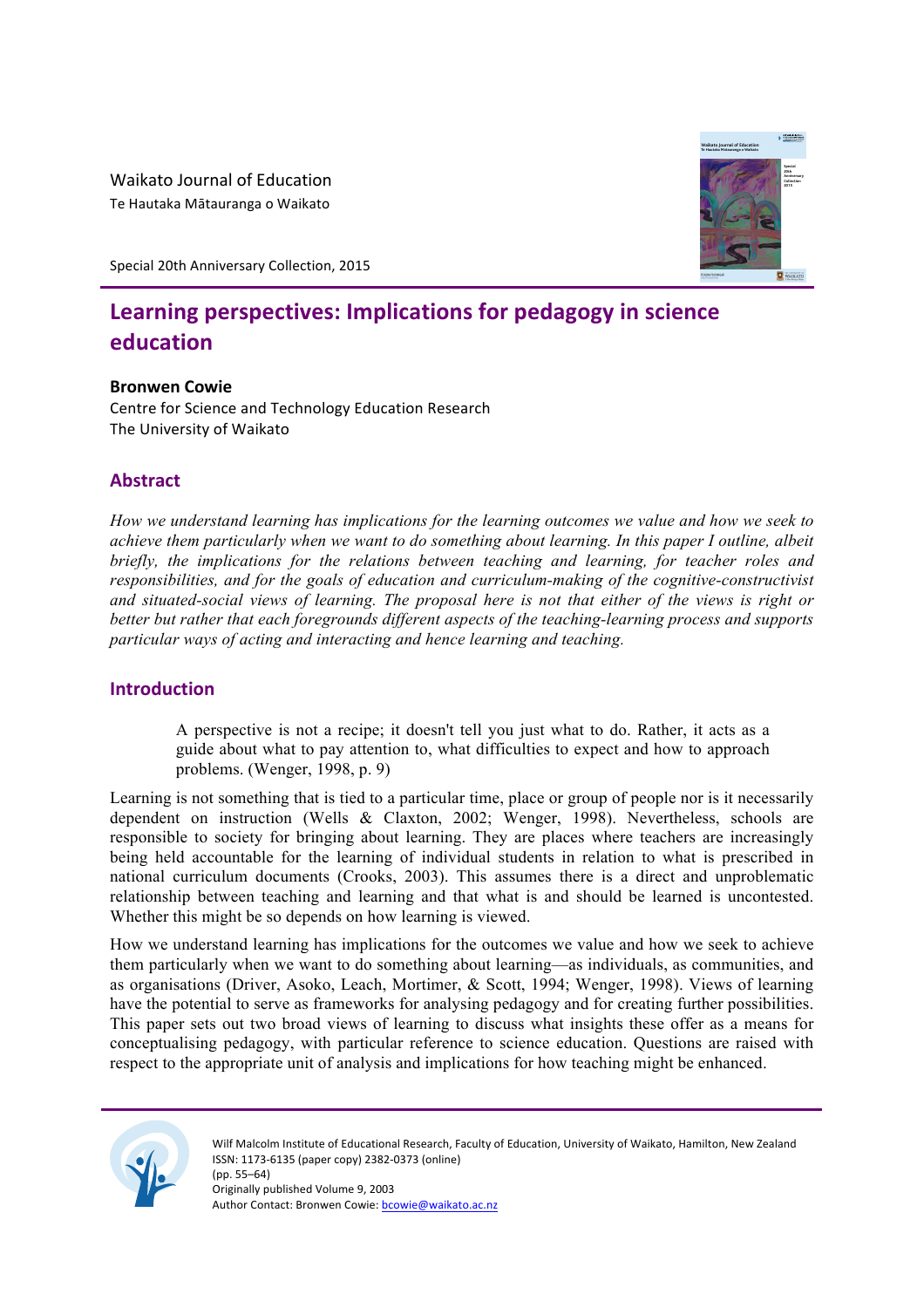Waikato Journal of Education Te Hautaka Mātauranga o Waikato

Special 20th Anniversary Collection, 2015

# Learning perspectives: Implications for pedagogy in science **education**

## **Bronwen Cowie**

Centre for Science and Technology Education Research The University of Waikato

# **Abstract**

*How we understand learning has implications for the learning outcomes we value and how we seek to achieve them particularly when we want to do something about learning. In this paper I outline, albeit briefly, the implications for the relations between teaching and learning, for teacher roles and responsibilities, and for the goals of education and curriculum-making of the cognitive-constructivist and situated-social views of learning. The proposal here is not that either of the views is right or better but rather that each foregrounds different aspects of the teaching-learning process and supports particular ways of acting and interacting and hence learning and teaching.*

## **Introduction**

A perspective is not a recipe; it doesn't tell you just what to do. Rather, it acts as a guide about what to pay attention to, what difficulties to expect and how to approach problems. (Wenger, 1998, p. 9)

Learning is not something that is tied to a particular time, place or group of people nor is it necessarily dependent on instruction (Wells & Claxton, 2002; Wenger, 1998). Nevertheless, schools are responsible to society for bringing about learning. They are places where teachers are increasingly being held accountable for the learning of individual students in relation to what is prescribed in national curriculum documents (Crooks, 2003). This assumes there is a direct and unproblematic relationship between teaching and learning and that what is and should be learned is uncontested. Whether this might be so depends on how learning is viewed.

How we understand learning has implications for the outcomes we value and how we seek to achieve them particularly when we want to do something about learning—as individuals, as communities, and as organisations (Driver, Asoko, Leach, Mortimer, & Scott, 1994; Wenger, 1998). Views of learning have the potential to serve as frameworks for analysing pedagogy and for creating further possibilities. This paper sets out two broad views of learning to discuss what insights these offer as a means for conceptualising pedagogy, with particular reference to science education. Questions are raised with respect to the appropriate unit of analysis and implications for how teaching might be enhanced.



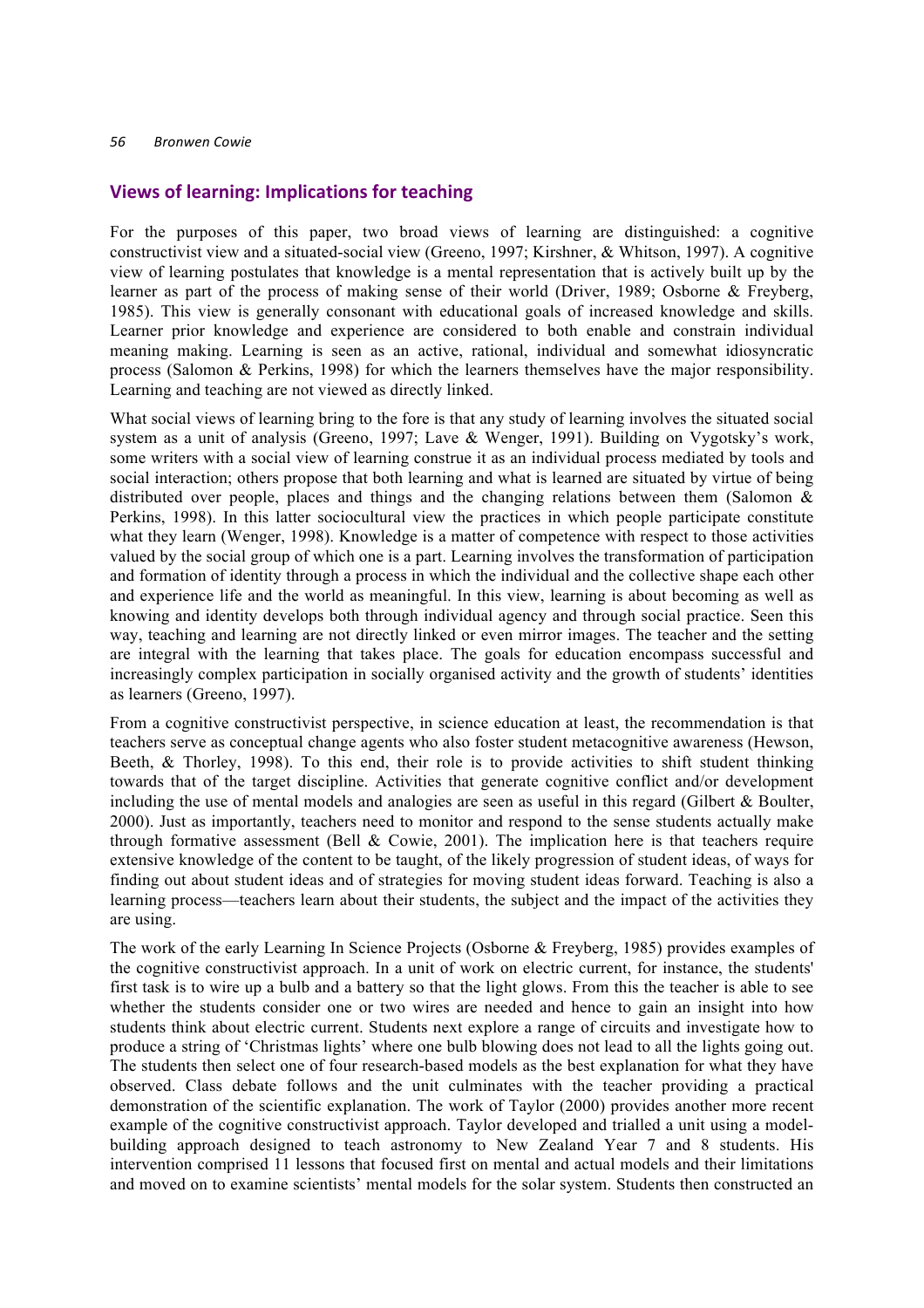## **Views of learning: Implications for teaching**

For the purposes of this paper, two broad views of learning are distinguished: a cognitive constructivist view and a situated-social view (Greeno, 1997; Kirshner, & Whitson, 1997). A cognitive view of learning postulates that knowledge is a mental representation that is actively built up by the learner as part of the process of making sense of their world (Driver, 1989; Osborne & Freyberg, 1985). This view is generally consonant with educational goals of increased knowledge and skills. Learner prior knowledge and experience are considered to both enable and constrain individual meaning making. Learning is seen as an active, rational, individual and somewhat idiosyncratic process (Salomon & Perkins, 1998) for which the learners themselves have the major responsibility. Learning and teaching are not viewed as directly linked.

What social views of learning bring to the fore is that any study of learning involves the situated social system as a unit of analysis (Greeno, 1997; Lave & Wenger, 1991). Building on Vygotsky's work, some writers with a social view of learning construe it as an individual process mediated by tools and social interaction; others propose that both learning and what is learned are situated by virtue of being distributed over people, places and things and the changing relations between them (Salomon  $\&$ Perkins, 1998). In this latter sociocultural view the practices in which people participate constitute what they learn (Wenger, 1998). Knowledge is a matter of competence with respect to those activities valued by the social group of which one is a part. Learning involves the transformation of participation and formation of identity through a process in which the individual and the collective shape each other and experience life and the world as meaningful. In this view, learning is about becoming as well as knowing and identity develops both through individual agency and through social practice. Seen this way, teaching and learning are not directly linked or even mirror images. The teacher and the setting are integral with the learning that takes place. The goals for education encompass successful and increasingly complex participation in socially organised activity and the growth of students' identities as learners (Greeno, 1997).

From a cognitive constructivist perspective, in science education at least, the recommendation is that teachers serve as conceptual change agents who also foster student metacognitive awareness (Hewson, Beeth, & Thorley, 1998). To this end, their role is to provide activities to shift student thinking towards that of the target discipline. Activities that generate cognitive conflict and/or development including the use of mental models and analogies are seen as useful in this regard (Gilbert & Boulter, 2000). Just as importantly, teachers need to monitor and respond to the sense students actually make through formative assessment (Bell & Cowie, 2001). The implication here is that teachers require extensive knowledge of the content to be taught, of the likely progression of student ideas, of ways for finding out about student ideas and of strategies for moving student ideas forward. Teaching is also a learning process—teachers learn about their students, the subject and the impact of the activities they are using.

The work of the early Learning In Science Projects (Osborne & Freyberg, 1985) provides examples of the cognitive constructivist approach. In a unit of work on electric current, for instance, the students' first task is to wire up a bulb and a battery so that the light glows. From this the teacher is able to see whether the students consider one or two wires are needed and hence to gain an insight into how students think about electric current. Students next explore a range of circuits and investigate how to produce a string of 'Christmas lights' where one bulb blowing does not lead to all the lights going out. The students then select one of four research-based models as the best explanation for what they have observed. Class debate follows and the unit culminates with the teacher providing a practical demonstration of the scientific explanation. The work of Taylor (2000) provides another more recent example of the cognitive constructivist approach. Taylor developed and trialled a unit using a modelbuilding approach designed to teach astronomy to New Zealand Year 7 and 8 students. His intervention comprised 11 lessons that focused first on mental and actual models and their limitations and moved on to examine scientists' mental models for the solar system. Students then constructed an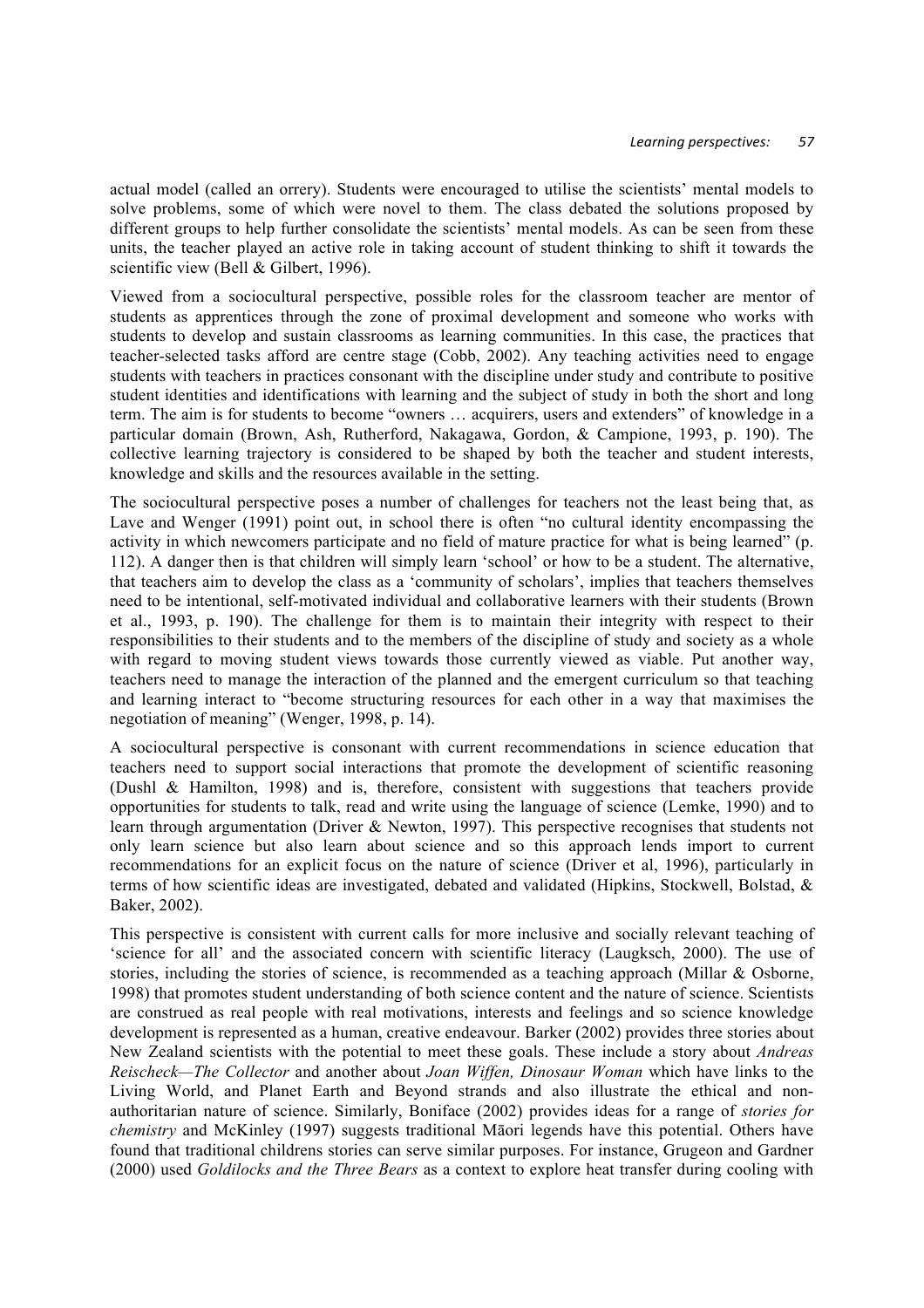actual model (called an orrery). Students were encouraged to utilise the scientists' mental models to solve problems, some of which were novel to them. The class debated the solutions proposed by different groups to help further consolidate the scientists' mental models. As can be seen from these units, the teacher played an active role in taking account of student thinking to shift it towards the scientific view (Bell & Gilbert, 1996).

Viewed from a sociocultural perspective, possible roles for the classroom teacher are mentor of students as apprentices through the zone of proximal development and someone who works with students to develop and sustain classrooms as learning communities. In this case, the practices that teacher-selected tasks afford are centre stage (Cobb, 2002). Any teaching activities need to engage students with teachers in practices consonant with the discipline under study and contribute to positive student identities and identifications with learning and the subject of study in both the short and long term. The aim is for students to become "owners … acquirers, users and extenders" of knowledge in a particular domain (Brown, Ash, Rutherford, Nakagawa, Gordon, & Campione, 1993, p. 190). The collective learning trajectory is considered to be shaped by both the teacher and student interests, knowledge and skills and the resources available in the setting.

The sociocultural perspective poses a number of challenges for teachers not the least being that, as Lave and Wenger (1991) point out, in school there is often "no cultural identity encompassing the activity in which newcomers participate and no field of mature practice for what is being learned" (p. 112). A danger then is that children will simply learn 'school' or how to be a student. The alternative, that teachers aim to develop the class as a 'community of scholars', implies that teachers themselves need to be intentional, self-motivated individual and collaborative learners with their students (Brown et al., 1993, p. 190). The challenge for them is to maintain their integrity with respect to their responsibilities to their students and to the members of the discipline of study and society as a whole with regard to moving student views towards those currently viewed as viable. Put another way, teachers need to manage the interaction of the planned and the emergent curriculum so that teaching and learning interact to "become structuring resources for each other in a way that maximises the negotiation of meaning" (Wenger, 1998, p. 14).

A sociocultural perspective is consonant with current recommendations in science education that teachers need to support social interactions that promote the development of scientific reasoning (Dushl & Hamilton, 1998) and is, therefore, consistent with suggestions that teachers provide opportunities for students to talk, read and write using the language of science (Lemke, 1990) and to learn through argumentation (Driver & Newton, 1997). This perspective recognises that students not only learn science but also learn about science and so this approach lends import to current recommendations for an explicit focus on the nature of science (Driver et al, 1996), particularly in terms of how scientific ideas are investigated, debated and validated (Hipkins, Stockwell, Bolstad, & Baker, 2002).

This perspective is consistent with current calls for more inclusive and socially relevant teaching of 'science for all' and the associated concern with scientific literacy (Laugksch, 2000). The use of stories, including the stories of science, is recommended as a teaching approach (Millar & Osborne, 1998) that promotes student understanding of both science content and the nature of science. Scientists are construed as real people with real motivations, interests and feelings and so science knowledge development is represented as a human, creative endeavour. Barker (2002) provides three stories about New Zealand scientists with the potential to meet these goals. These include a story about *Andreas Reischeck—The Collector* and another about *Joan Wiffen, Dinosaur Woman* which have links to the Living World, and Planet Earth and Beyond strands and also illustrate the ethical and nonauthoritarian nature of science. Similarly, Boniface (2002) provides ideas for a range of *stories for chemistry* and McKinley (1997) suggests traditional Māori legends have this potential. Others have found that traditional childrens stories can serve similar purposes. For instance, Grugeon and Gardner (2000) used *Goldilocks and the Three Bears* as a context to explore heat transfer during cooling with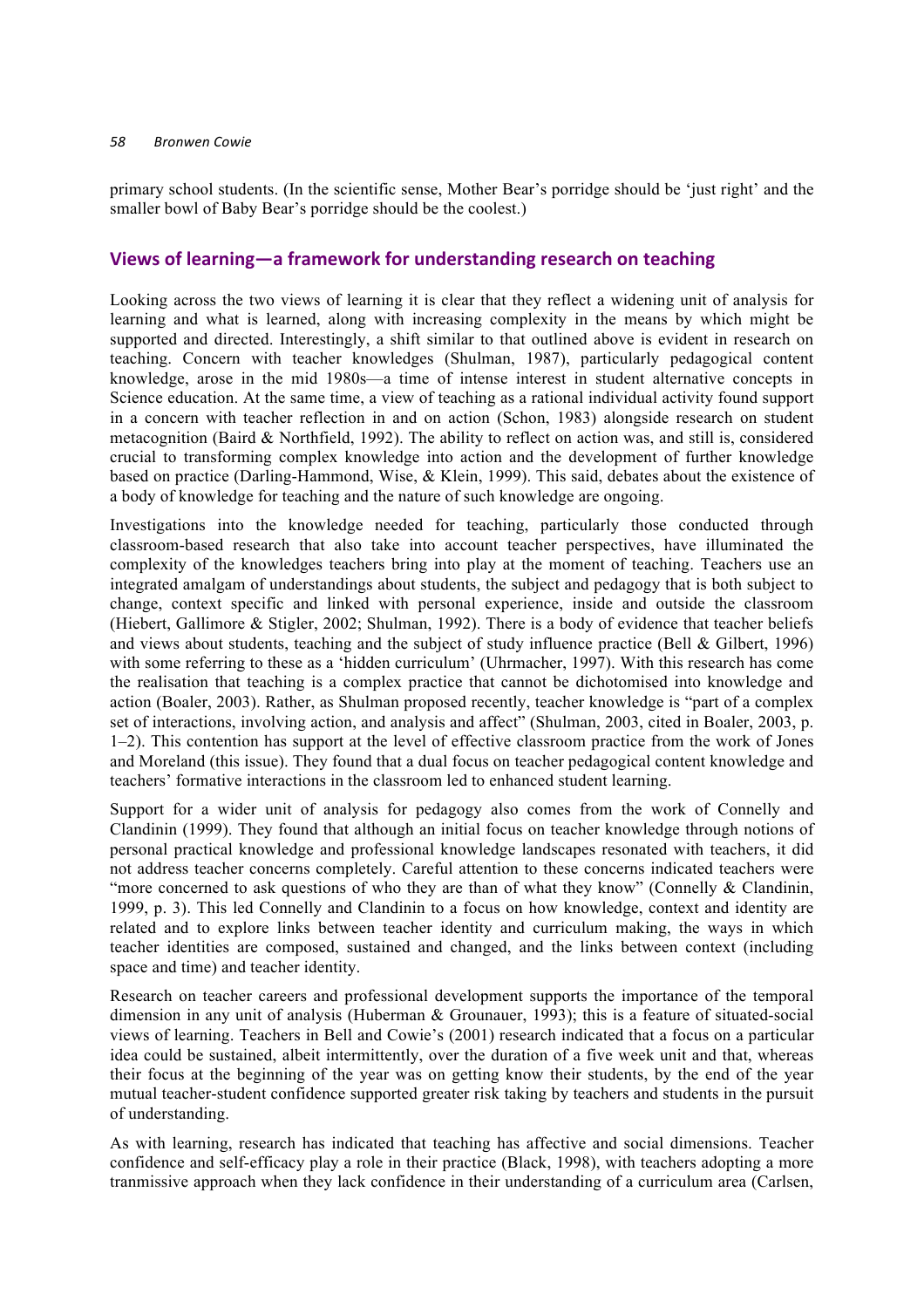#### *58 Bronwen Cowie*

primary school students. (In the scientific sense, Mother Bear's porridge should be 'just right' and the smaller bowl of Baby Bear's porridge should be the coolest.)

# Views of learning—a framework for understanding research on teaching

Looking across the two views of learning it is clear that they reflect a widening unit of analysis for learning and what is learned, along with increasing complexity in the means by which might be supported and directed. Interestingly, a shift similar to that outlined above is evident in research on teaching. Concern with teacher knowledges (Shulman, 1987), particularly pedagogical content knowledge, arose in the mid 1980s—a time of intense interest in student alternative concepts in Science education. At the same time, a view of teaching as a rational individual activity found support in a concern with teacher reflection in and on action (Schon, 1983) alongside research on student metacognition (Baird & Northfield, 1992). The ability to reflect on action was, and still is, considered crucial to transforming complex knowledge into action and the development of further knowledge based on practice (Darling-Hammond, Wise, & Klein, 1999). This said, debates about the existence of a body of knowledge for teaching and the nature of such knowledge are ongoing.

Investigations into the knowledge needed for teaching, particularly those conducted through classroom-based research that also take into account teacher perspectives, have illuminated the complexity of the knowledges teachers bring into play at the moment of teaching. Teachers use an integrated amalgam of understandings about students, the subject and pedagogy that is both subject to change, context specific and linked with personal experience, inside and outside the classroom (Hiebert, Gallimore & Stigler, 2002; Shulman, 1992). There is a body of evidence that teacher beliefs and views about students, teaching and the subject of study influence practice (Bell & Gilbert, 1996) with some referring to these as a 'hidden curriculum' (Uhrmacher, 1997). With this research has come the realisation that teaching is a complex practice that cannot be dichotomised into knowledge and action (Boaler, 2003). Rather, as Shulman proposed recently, teacher knowledge is "part of a complex set of interactions, involving action, and analysis and affect" (Shulman, 2003, cited in Boaler, 2003, p. 1–2). This contention has support at the level of effective classroom practice from the work of Jones and Moreland (this issue). They found that a dual focus on teacher pedagogical content knowledge and teachers' formative interactions in the classroom led to enhanced student learning.

Support for a wider unit of analysis for pedagogy also comes from the work of Connelly and Clandinin (1999). They found that although an initial focus on teacher knowledge through notions of personal practical knowledge and professional knowledge landscapes resonated with teachers, it did not address teacher concerns completely. Careful attention to these concerns indicated teachers were "more concerned to ask questions of who they are than of what they know" (Connelly & Clandinin, 1999, p. 3). This led Connelly and Clandinin to a focus on how knowledge, context and identity are related and to explore links between teacher identity and curriculum making, the ways in which teacher identities are composed, sustained and changed, and the links between context (including space and time) and teacher identity.

Research on teacher careers and professional development supports the importance of the temporal dimension in any unit of analysis (Huberman & Grounauer, 1993); this is a feature of situated-social views of learning. Teachers in Bell and Cowie's (2001) research indicated that a focus on a particular idea could be sustained, albeit intermittently, over the duration of a five week unit and that, whereas their focus at the beginning of the year was on getting know their students, by the end of the year mutual teacher-student confidence supported greater risk taking by teachers and students in the pursuit of understanding.

As with learning, research has indicated that teaching has affective and social dimensions. Teacher confidence and self-efficacy play a role in their practice (Black, 1998), with teachers adopting a more tranmissive approach when they lack confidence in their understanding of a curriculum area (Carlsen,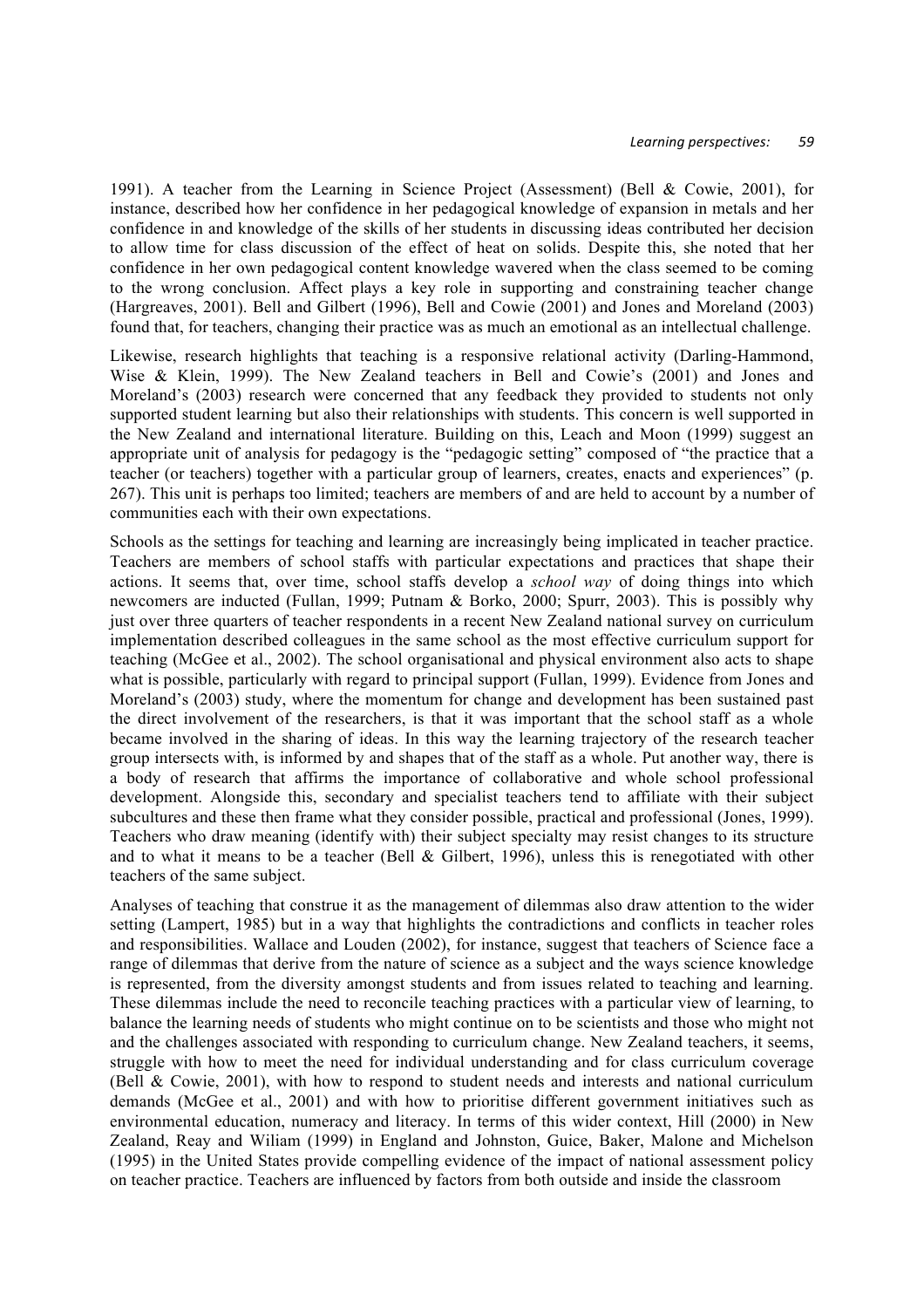1991). A teacher from the Learning in Science Project (Assessment) (Bell & Cowie, 2001), for instance, described how her confidence in her pedagogical knowledge of expansion in metals and her confidence in and knowledge of the skills of her students in discussing ideas contributed her decision to allow time for class discussion of the effect of heat on solids. Despite this, she noted that her confidence in her own pedagogical content knowledge wavered when the class seemed to be coming to the wrong conclusion. Affect plays a key role in supporting and constraining teacher change (Hargreaves, 2001). Bell and Gilbert (1996), Bell and Cowie (2001) and Jones and Moreland (2003) found that, for teachers, changing their practice was as much an emotional as an intellectual challenge.

Likewise, research highlights that teaching is a responsive relational activity (Darling-Hammond, Wise & Klein, 1999). The New Zealand teachers in Bell and Cowie's (2001) and Jones and Moreland's (2003) research were concerned that any feedback they provided to students not only supported student learning but also their relationships with students. This concern is well supported in the New Zealand and international literature. Building on this, Leach and Moon (1999) suggest an appropriate unit of analysis for pedagogy is the "pedagogic setting" composed of "the practice that a teacher (or teachers) together with a particular group of learners, creates, enacts and experiences" (p. 267). This unit is perhaps too limited; teachers are members of and are held to account by a number of communities each with their own expectations.

Schools as the settings for teaching and learning are increasingly being implicated in teacher practice. Teachers are members of school staffs with particular expectations and practices that shape their actions. It seems that, over time, school staffs develop a *school way* of doing things into which newcomers are inducted (Fullan, 1999; Putnam & Borko, 2000; Spurr, 2003). This is possibly why just over three quarters of teacher respondents in a recent New Zealand national survey on curriculum implementation described colleagues in the same school as the most effective curriculum support for teaching (McGee et al., 2002). The school organisational and physical environment also acts to shape what is possible, particularly with regard to principal support (Fullan, 1999). Evidence from Jones and Moreland's (2003) study, where the momentum for change and development has been sustained past the direct involvement of the researchers, is that it was important that the school staff as a whole became involved in the sharing of ideas. In this way the learning trajectory of the research teacher group intersects with, is informed by and shapes that of the staff as a whole. Put another way, there is a body of research that affirms the importance of collaborative and whole school professional development. Alongside this, secondary and specialist teachers tend to affiliate with their subject subcultures and these then frame what they consider possible, practical and professional (Jones, 1999). Teachers who draw meaning (identify with) their subject specialty may resist changes to its structure and to what it means to be a teacher (Bell  $& Gilbert, 1996$ ), unless this is renegotiated with other teachers of the same subject.

Analyses of teaching that construe it as the management of dilemmas also draw attention to the wider setting (Lampert, 1985) but in a way that highlights the contradictions and conflicts in teacher roles and responsibilities. Wallace and Louden (2002), for instance, suggest that teachers of Science face a range of dilemmas that derive from the nature of science as a subject and the ways science knowledge is represented, from the diversity amongst students and from issues related to teaching and learning. These dilemmas include the need to reconcile teaching practices with a particular view of learning, to balance the learning needs of students who might continue on to be scientists and those who might not and the challenges associated with responding to curriculum change. New Zealand teachers, it seems, struggle with how to meet the need for individual understanding and for class curriculum coverage (Bell & Cowie, 2001), with how to respond to student needs and interests and national curriculum demands (McGee et al., 2001) and with how to prioritise different government initiatives such as environmental education, numeracy and literacy. In terms of this wider context, Hill (2000) in New Zealand, Reay and Wiliam (1999) in England and Johnston, Guice, Baker, Malone and Michelson (1995) in the United States provide compelling evidence of the impact of national assessment policy on teacher practice. Teachers are influenced by factors from both outside and inside the classroom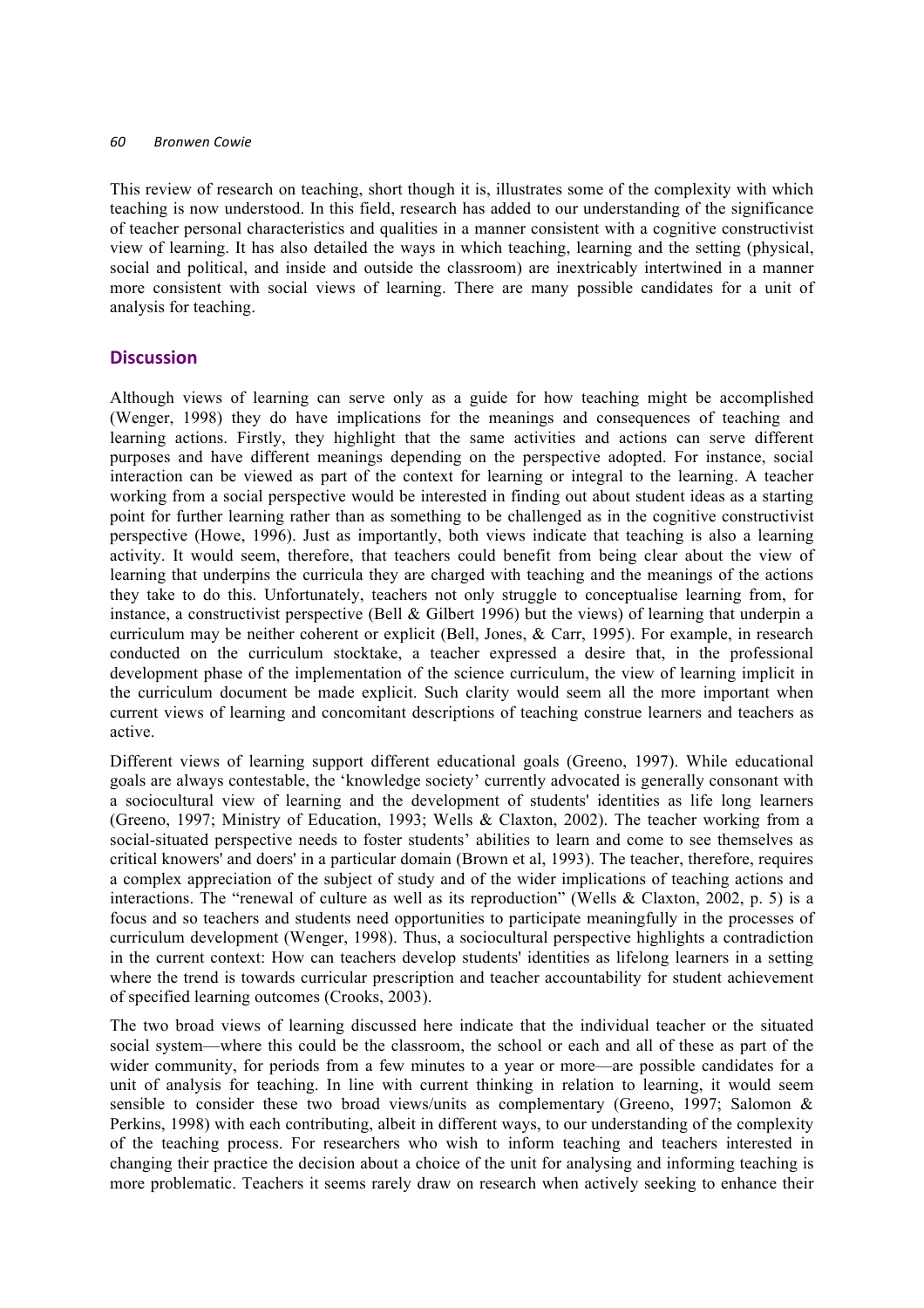#### *60 Bronwen Cowie*

This review of research on teaching, short though it is, illustrates some of the complexity with which teaching is now understood. In this field, research has added to our understanding of the significance of teacher personal characteristics and qualities in a manner consistent with a cognitive constructivist view of learning. It has also detailed the ways in which teaching, learning and the setting (physical, social and political, and inside and outside the classroom) are inextricably intertwined in a manner more consistent with social views of learning. There are many possible candidates for a unit of analysis for teaching.

# **Discussion**

Although views of learning can serve only as a guide for how teaching might be accomplished (Wenger, 1998) they do have implications for the meanings and consequences of teaching and learning actions. Firstly, they highlight that the same activities and actions can serve different purposes and have different meanings depending on the perspective adopted. For instance, social interaction can be viewed as part of the context for learning or integral to the learning. A teacher working from a social perspective would be interested in finding out about student ideas as a starting point for further learning rather than as something to be challenged as in the cognitive constructivist perspective (Howe, 1996). Just as importantly, both views indicate that teaching is also a learning activity. It would seem, therefore, that teachers could benefit from being clear about the view of learning that underpins the curricula they are charged with teaching and the meanings of the actions they take to do this. Unfortunately, teachers not only struggle to conceptualise learning from, for instance, a constructivist perspective (Bell & Gilbert 1996) but the views) of learning that underpin a curriculum may be neither coherent or explicit (Bell, Jones, & Carr, 1995). For example, in research conducted on the curriculum stocktake, a teacher expressed a desire that, in the professional development phase of the implementation of the science curriculum, the view of learning implicit in the curriculum document be made explicit. Such clarity would seem all the more important when current views of learning and concomitant descriptions of teaching construe learners and teachers as active.

Different views of learning support different educational goals (Greeno, 1997). While educational goals are always contestable, the 'knowledge society' currently advocated is generally consonant with a sociocultural view of learning and the development of students' identities as life long learners (Greeno, 1997; Ministry of Education, 1993; Wells & Claxton, 2002). The teacher working from a social-situated perspective needs to foster students' abilities to learn and come to see themselves as critical knowers' and doers' in a particular domain (Brown et al, 1993). The teacher, therefore, requires a complex appreciation of the subject of study and of the wider implications of teaching actions and interactions. The "renewal of culture as well as its reproduction" (Wells & Claxton, 2002, p. 5) is a focus and so teachers and students need opportunities to participate meaningfully in the processes of curriculum development (Wenger, 1998). Thus, a sociocultural perspective highlights a contradiction in the current context: How can teachers develop students' identities as lifelong learners in a setting where the trend is towards curricular prescription and teacher accountability for student achievement of specified learning outcomes (Crooks, 2003).

The two broad views of learning discussed here indicate that the individual teacher or the situated social system—where this could be the classroom, the school or each and all of these as part of the wider community, for periods from a few minutes to a year or more—are possible candidates for a unit of analysis for teaching. In line with current thinking in relation to learning, it would seem sensible to consider these two broad views/units as complementary (Greeno, 1997; Salomon & Perkins, 1998) with each contributing, albeit in different ways, to our understanding of the complexity of the teaching process. For researchers who wish to inform teaching and teachers interested in changing their practice the decision about a choice of the unit for analysing and informing teaching is more problematic. Teachers it seems rarely draw on research when actively seeking to enhance their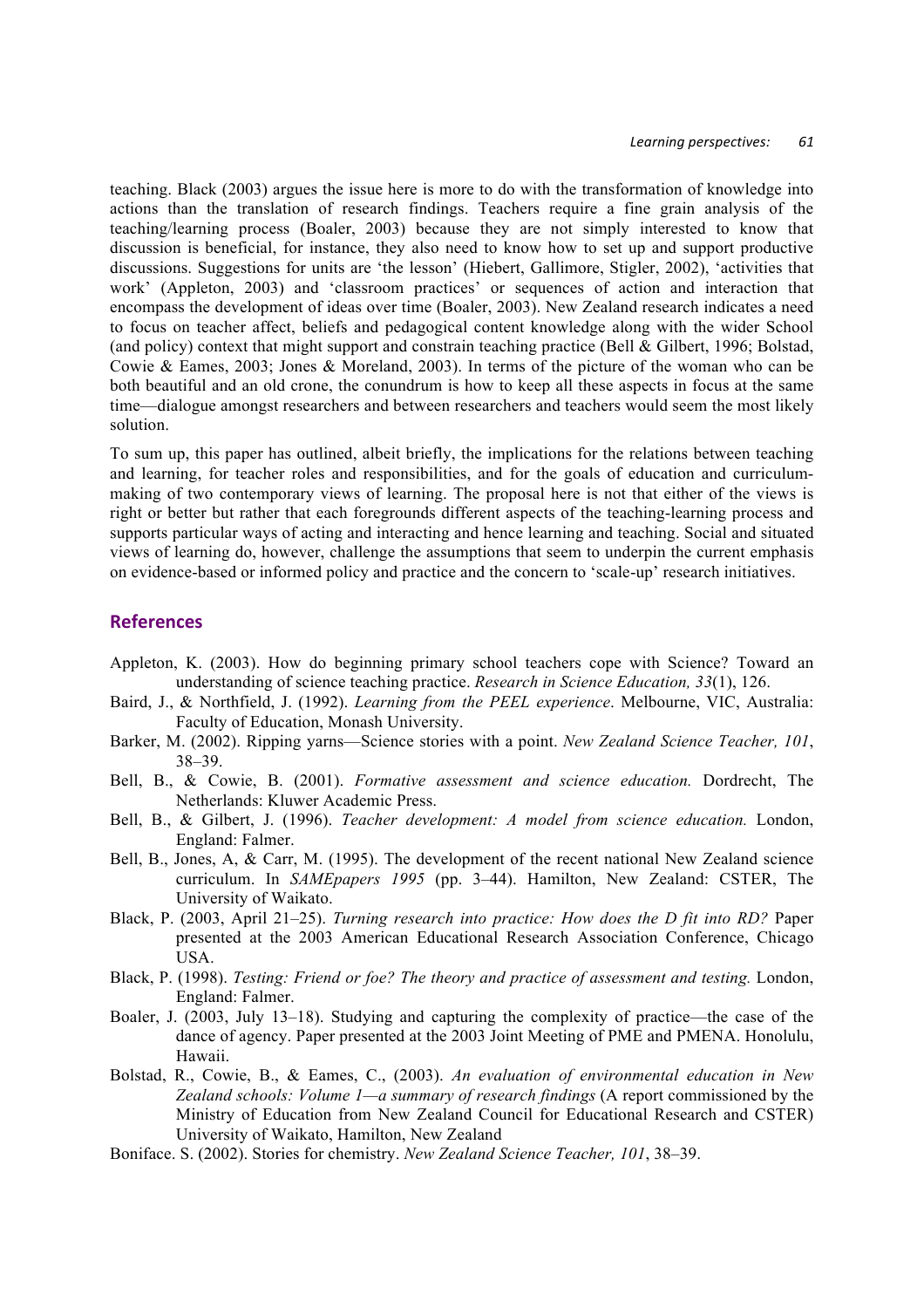teaching. Black (2003) argues the issue here is more to do with the transformation of knowledge into actions than the translation of research findings. Teachers require a fine grain analysis of the teaching/learning process (Boaler, 2003) because they are not simply interested to know that discussion is beneficial, for instance, they also need to know how to set up and support productive discussions. Suggestions for units are 'the lesson' (Hiebert, Gallimore, Stigler, 2002), 'activities that work' (Appleton, 2003) and 'classroom practices' or sequences of action and interaction that encompass the development of ideas over time (Boaler, 2003). New Zealand research indicates a need to focus on teacher affect, beliefs and pedagogical content knowledge along with the wider School (and policy) context that might support and constrain teaching practice (Bell & Gilbert, 1996; Bolstad, Cowie & Eames, 2003; Jones & Moreland, 2003). In terms of the picture of the woman who can be both beautiful and an old crone, the conundrum is how to keep all these aspects in focus at the same time—dialogue amongst researchers and between researchers and teachers would seem the most likely solution.

To sum up, this paper has outlined, albeit briefly, the implications for the relations between teaching and learning, for teacher roles and responsibilities, and for the goals of education and curriculummaking of two contemporary views of learning. The proposal here is not that either of the views is right or better but rather that each foregrounds different aspects of the teaching-learning process and supports particular ways of acting and interacting and hence learning and teaching. Social and situated views of learning do, however, challenge the assumptions that seem to underpin the current emphasis on evidence-based or informed policy and practice and the concern to 'scale-up' research initiatives.

### **References**

- Appleton, K. (2003). How do beginning primary school teachers cope with Science? Toward an understanding of science teaching practice. *Research in Science Education, 33*(1), 126.
- Baird, J., & Northfield, J. (1992). *Learning from the PEEL experience*. Melbourne, VIC, Australia: Faculty of Education, Monash University.
- Barker, M. (2002). Ripping yarns—Science stories with a point. *New Zealand Science Teacher, 101*, 38–39.
- Bell, B., & Cowie, B. (2001). *Formative assessment and science education.* Dordrecht, The Netherlands: Kluwer Academic Press.
- Bell, B., & Gilbert, J. (1996). *Teacher development: A model from science education.* London, England: Falmer.
- Bell, B., Jones, A, & Carr, M. (1995). The development of the recent national New Zealand science curriculum. In *SAMEpapers 1995* (pp. 3–44). Hamilton, New Zealand: CSTER, The University of Waikato.
- Black, P. (2003, April 21–25). *Turning research into practice: How does the D fit into RD?* Paper presented at the 2003 American Educational Research Association Conference, Chicago USA.
- Black, P. (1998). *Testing: Friend or foe? The theory and practice of assessment and testing.* London, England: Falmer.
- Boaler, J. (2003, July 13–18). Studying and capturing the complexity of practice—the case of the dance of agency. Paper presented at the 2003 Joint Meeting of PME and PMENA. Honolulu, Hawaii.
- Bolstad, R., Cowie, B., & Eames, C., (2003). *An evaluation of environmental education in New Zealand schools: Volume 1—a summary of research findings* (A report commissioned by the Ministry of Education from New Zealand Council for Educational Research and CSTER) University of Waikato, Hamilton, New Zealand
- Boniface. S. (2002). Stories for chemistry. *New Zealand Science Teacher, 101*, 38–39.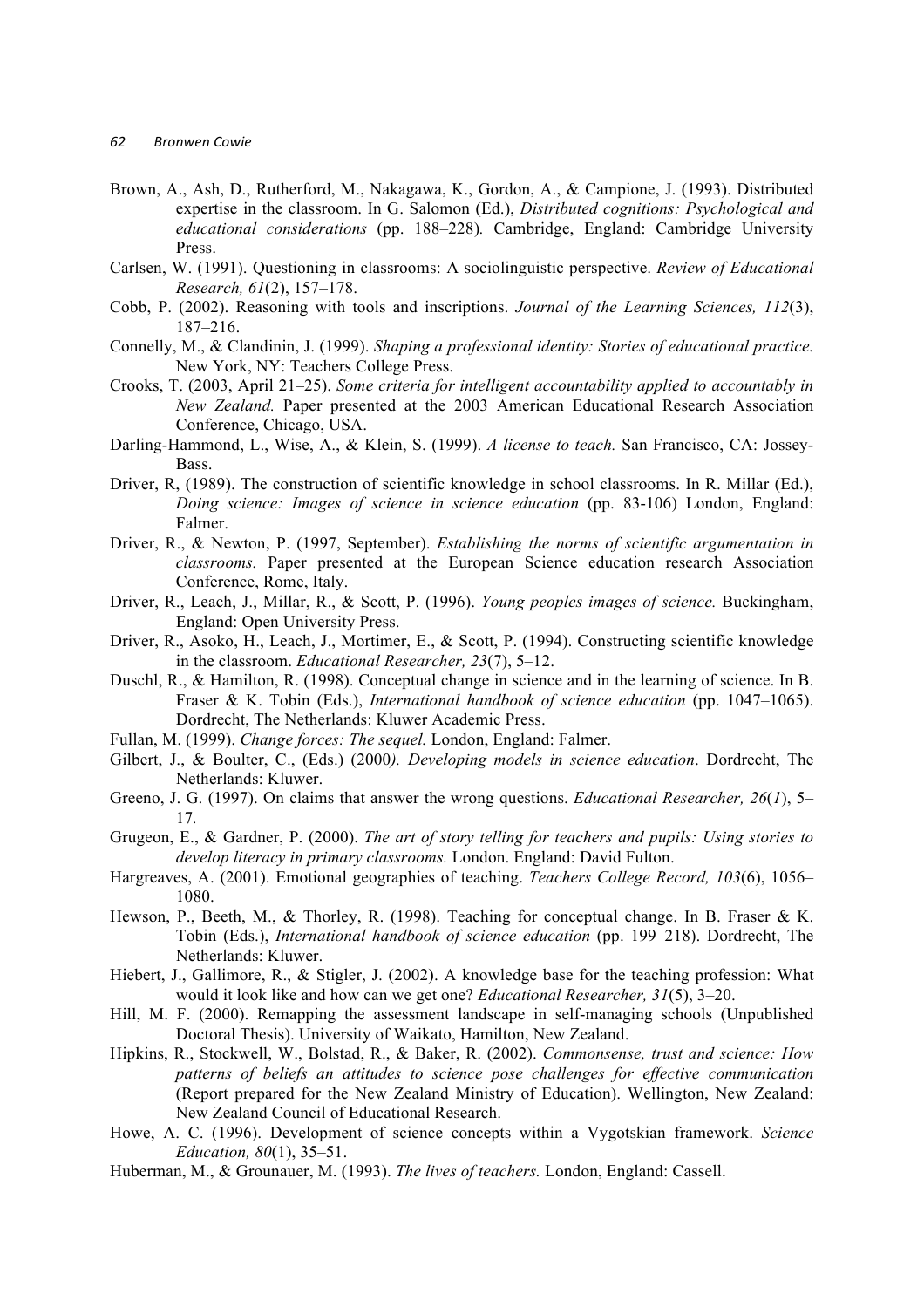- Brown, A., Ash, D., Rutherford, M., Nakagawa, K., Gordon, A., & Campione, J. (1993). Distributed expertise in the classroom. In G. Salomon (Ed.), *Distributed cognitions: Psychological and educational considerations* (pp. 188–228)*.* Cambridge, England: Cambridge University Press.
- Carlsen, W. (1991). Questioning in classrooms: A sociolinguistic perspective. *Review of Educational Research, 61*(2), 157–178.
- Cobb, P. (2002). Reasoning with tools and inscriptions. *Journal of the Learning Sciences, 112*(3), 187–216.
- Connelly, M., & Clandinin, J. (1999). *Shaping a professional identity: Stories of educational practice.*  New York, NY: Teachers College Press.
- Crooks, T. (2003, April 21–25). *Some criteria for intelligent accountability applied to accountably in New Zealand.* Paper presented at the 2003 American Educational Research Association Conference, Chicago, USA.
- Darling-Hammond, L., Wise, A., & Klein, S. (1999). *A license to teach.* San Francisco, CA: Jossey-Bass.
- Driver, R, (1989). The construction of scientific knowledge in school classrooms. In R. Millar (Ed.), *Doing science: Images of science in science education* (pp. 83-106) London, England: Falmer.
- Driver, R., & Newton, P. (1997, September). *Establishing the norms of scientific argumentation in classrooms.* Paper presented at the European Science education research Association Conference, Rome, Italy.
- Driver, R., Leach, J., Millar, R., & Scott, P. (1996). *Young peoples images of science.* Buckingham, England: Open University Press.
- Driver, R., Asoko, H., Leach, J., Mortimer, E., & Scott, P. (1994). Constructing scientific knowledge in the classroom. *Educational Researcher, 23*(7), 5–12.
- Duschl, R., & Hamilton, R. (1998). Conceptual change in science and in the learning of science. In B. Fraser & K. Tobin (Eds.), *International handbook of science education* (pp. 1047–1065). Dordrecht, The Netherlands: Kluwer Academic Press.
- Fullan, M. (1999). *Change forces: The sequel.* London, England: Falmer.
- Gilbert, J., & Boulter, C., (Eds.) (2000*). Developing models in science education*. Dordrecht, The Netherlands: Kluwer.
- Greeno, J. G. (1997). On claims that answer the wrong questions. *Educational Researcher, 26*(*1*), 5– 17*.*
- Grugeon, E., & Gardner, P. (2000). *The art of story telling for teachers and pupils: Using stories to develop literacy in primary classrooms.* London. England: David Fulton.
- Hargreaves, A. (2001). Emotional geographies of teaching. *Teachers College Record, 103*(6), 1056– 1080.
- Hewson, P., Beeth, M., & Thorley, R. (1998). Teaching for conceptual change. In B. Fraser & K. Tobin (Eds.), *International handbook of science education* (pp. 199–218). Dordrecht, The Netherlands: Kluwer.
- Hiebert, J., Gallimore, R., & Stigler, J. (2002). A knowledge base for the teaching profession: What would it look like and how can we get one? *Educational Researcher, 31*(5), 3–20.
- Hill, M. F. (2000). Remapping the assessment landscape in self-managing schools (Unpublished Doctoral Thesis). University of Waikato, Hamilton, New Zealand.
- Hipkins, R., Stockwell, W., Bolstad, R., & Baker, R. (2002). *Commonsense, trust and science: How patterns of beliefs an attitudes to science pose challenges for effective communication* (Report prepared for the New Zealand Ministry of Education). Wellington, New Zealand: New Zealand Council of Educational Research.
- Howe, A. C. (1996). Development of science concepts within a Vygotskian framework. *Science Education, 80*(1), 35–51.
- Huberman, M., & Grounauer, M. (1993). *The lives of teachers.* London, England: Cassell.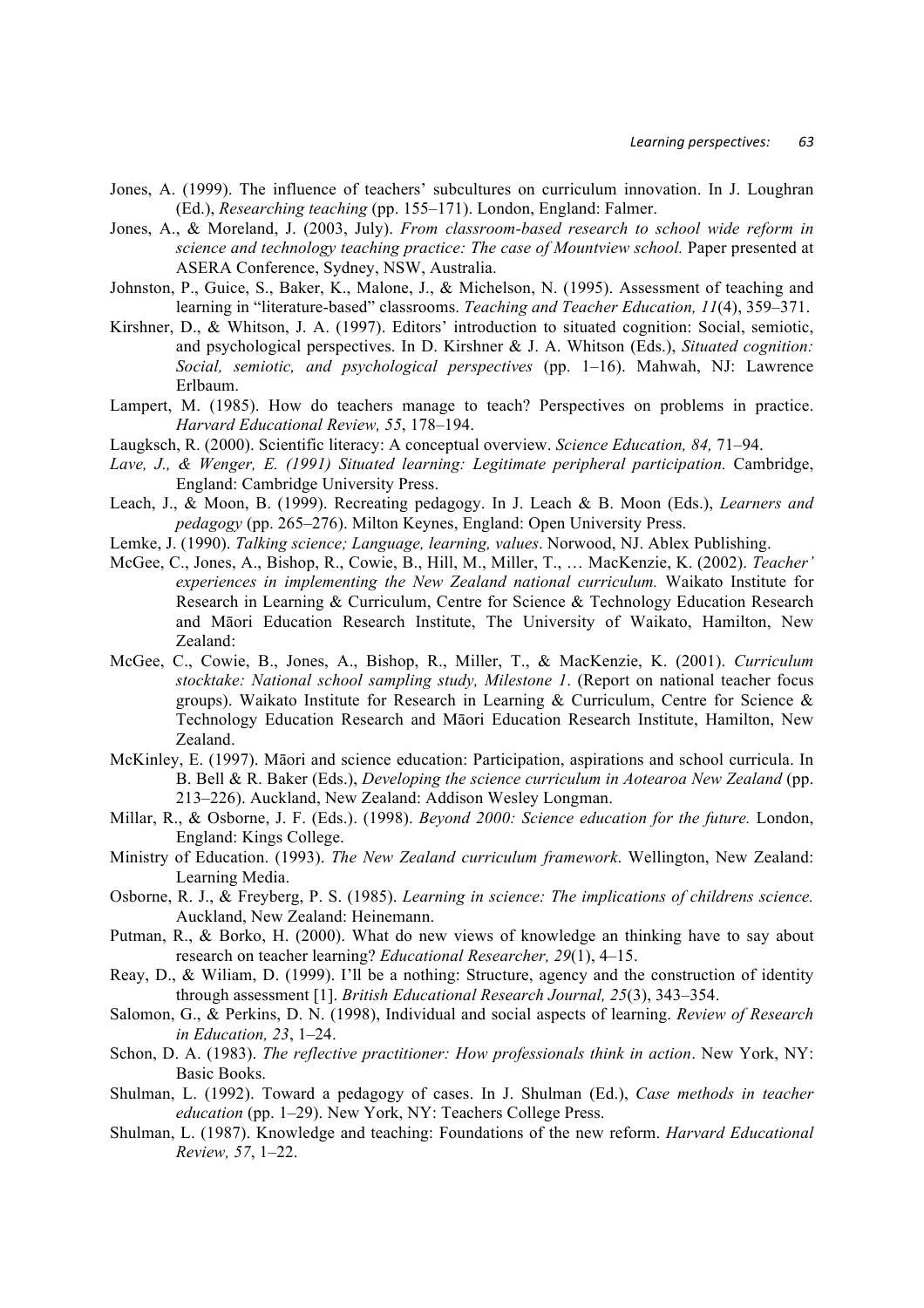- Jones, A. (1999). The influence of teachers' subcultures on curriculum innovation. In J. Loughran (Ed.), *Researching teaching* (pp. 155–171). London, England: Falmer.
- Jones, A., & Moreland, J. (2003, July). *From classroom-based research to school wide reform in science and technology teaching practice: The case of Mountview school.* Paper presented at ASERA Conference, Sydney, NSW, Australia.
- Johnston, P., Guice, S., Baker, K., Malone, J., & Michelson, N. (1995). Assessment of teaching and learning in "literature-based" classrooms. *Teaching and Teacher Education, 11*(4), 359–371.
- Kirshner, D., & Whitson, J. A. (1997). Editors' introduction to situated cognition: Social, semiotic, and psychological perspectives. In D. Kirshner & J. A. Whitson (Eds.), *Situated cognition: Social, semiotic, and psychological perspectives* (pp. 1–16). Mahwah, NJ: Lawrence Erlbaum.
- Lampert, M. (1985). How do teachers manage to teach? Perspectives on problems in practice. *Harvard Educational Review, 55*, 178–194.
- Laugksch, R. (2000). Scientific literacy: A conceptual overview. *Science Education, 84,* 71–94.
- Lave, J., & Wenger, E. (1991) Situated learning: Legitimate peripheral participation. Cambridge, England: Cambridge University Press.
- Leach, J., & Moon, B. (1999). Recreating pedagogy. In J. Leach & B. Moon (Eds.), *Learners and pedagogy* (pp. 265–276). Milton Keynes, England: Open University Press.
- Lemke, J. (1990). *Talking science; Language, learning, values*. Norwood, NJ. Ablex Publishing.
- McGee, C., Jones, A., Bishop, R., Cowie, B., Hill, M., Miller, T., … MacKenzie, K. (2002). *Teacher' experiences in implementing the New Zealand national curriculum.* Waikato Institute for Research in Learning & Curriculum, Centre for Science & Technology Education Research and Māori Education Research Institute, The University of Waikato, Hamilton, New Zealand:
- McGee, C., Cowie, B., Jones, A., Bishop, R., Miller, T., & MacKenzie, K. (2001). *Curriculum stocktake: National school sampling study, Milestone 1*. (Report on national teacher focus groups). Waikato Institute for Research in Learning & Curriculum, Centre for Science & Technology Education Research and Māori Education Research Institute, Hamilton, New Zealand.
- McKinley, E. (1997). Māori and science education: Participation, aspirations and school curricula. In B. Bell & R. Baker (Eds.), *Developing the science curriculum in Aotearoa New Zealand* (pp. 213–226). Auckland, New Zealand: Addison Wesley Longman.
- Millar, R., & Osborne, J. F. (Eds.). (1998). *Beyond 2000: Science education for the future.* London, England: Kings College.
- Ministry of Education. (1993). *The New Zealand curriculum framework*. Wellington, New Zealand: Learning Media.
- Osborne, R. J., & Freyberg, P. S. (1985). *Learning in science: The implications of childrens science.* Auckland, New Zealand: Heinemann.
- Putman, R., & Borko, H. (2000). What do new views of knowledge an thinking have to say about research on teacher learning? *Educational Researcher, 29*(1), 4–15.
- Reay, D., & Wiliam, D. (1999). I'll be a nothing: Structure, agency and the construction of identity through assessment [1]. *British Educational Research Journal, 25*(3), 343–354.
- Salomon, G., & Perkins, D. N. (1998), Individual and social aspects of learning. *Review of Research in Education, 23*, 1–24.
- Schon, D. A. (1983). *The reflective practitioner: How professionals think in action*. New York, NY: Basic Books.
- Shulman, L. (1992). Toward a pedagogy of cases. In J. Shulman (Ed.), *Case methods in teacher education* (pp. 1–29). New York, NY: Teachers College Press.
- Shulman, L. (1987). Knowledge and teaching: Foundations of the new reform. *Harvard Educational Review, 57*, 1–22.